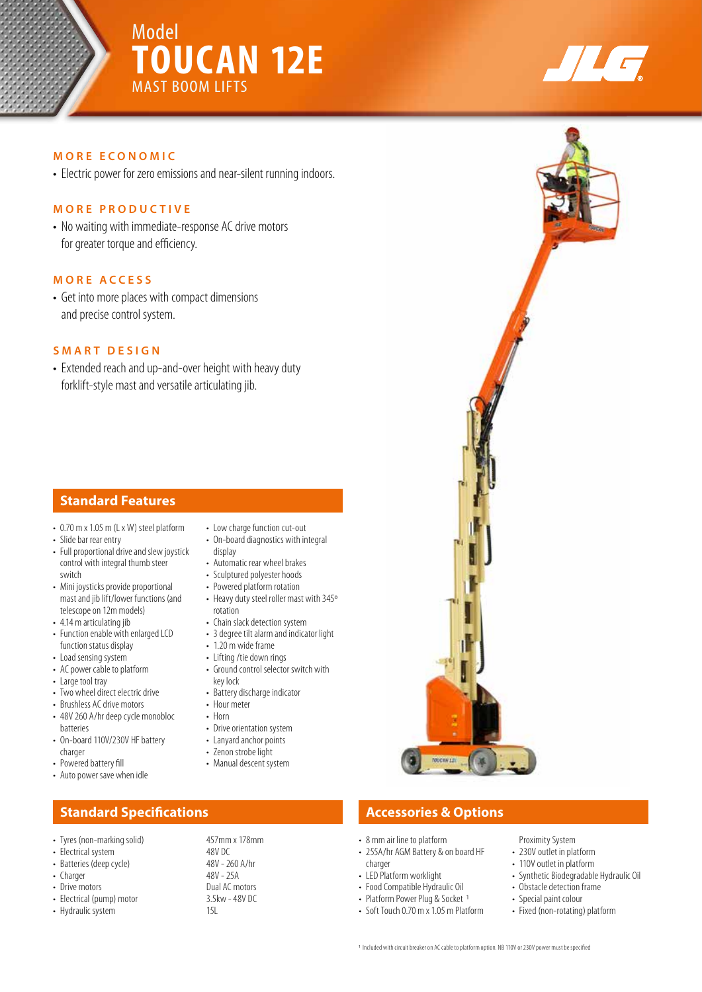



### **MORE ECONOMIC**

• Electric power for zero emissions and near-silent running indoors.

### **MORE PRODUCTIVE**

• No waiting with immediate-response AC drive motors for greater torque and efficiency.

# **MORE ACCESS**

• Get into more places with compact dimensions and precise control system.

### **SMART DESIGN**

• Extended reach and up-and-over height with heavy duty forklift-style mast and versatile articulating jib.

## **Standard Features**

- 0.70 m x 1.05 m (L x W) steel platform
- Slide bar rear entry
- Full proportional drive and slew joystick control with integral thumb steer switch
- Mini joysticks provide proportional mast and jib lift/lower functions (and telescope on 12m models)
- 4.14 m articulating jib • Function enable with enlarged LCD
- function status display • Load sensing system
- AC power cable to platform
- Large tool tray
- Two wheel direct electric drive
- Brushless AC drive motors
- 48V 260 A/hr deep cycle monobloc batteries
- On-board 110V/230V HF battery charger
- Powered battery fill
- Auto power save when idle

# **Standard Specifications Accessories & Options Accessories & Options**

- Tyres (non-marking solid) 457mm x 178mm
- Electrical system 48V DC<br>• Batteries (deep cycle) 48V 260 A/hr
- Batteries (deep cycle)
- Charger 48V 25A<br>• Drive motors 6 1999 25A
- 
- Electrical (pump) motor 3.5<br>• Hydraulic system 15
- Hydraulic system
- Low charge function cut-out
- On-board diagnostics with integral display
- Automatic rear wheel brakes
- Sculptured polyester hoods
- Powered platform rotation
- Heavy duty steel roller mast with 345º rotation
- Chain slack detection system
- 3 degree tilt alarm and indicator light
- 1.20 m wide frame
- Lifting /tie down rings
- Ground control selector switch with key lock
- Battery discharge indicator
- Hour meter
- Horn
- Drive orientation system
- Lanyard anchor points
- Zenon strobe light
- Manual descent system
	-
- Dual AC motors<br>3.5kw 48V DC

- 8 mm air line to platform
- 255A/hr AGM Battery & on board HF charger
- LED Platform worklight
- Food Compatible Hydraulic Oil
- Platform Power Plug & Socket 1
- Soft Touch 0.70 m x 1.05 m Platform

Proximity System

- 230V outlet in platform
- 110V outlet in platform
- Synthetic Biodegradable Hydraulic Oil
- Obstacle detection frame
- Special paint colour
- Fixed (non-rotating) platform
- 1 Included with circuit breaker on AC cable to platform option. NB 110V or 230V power must be specified